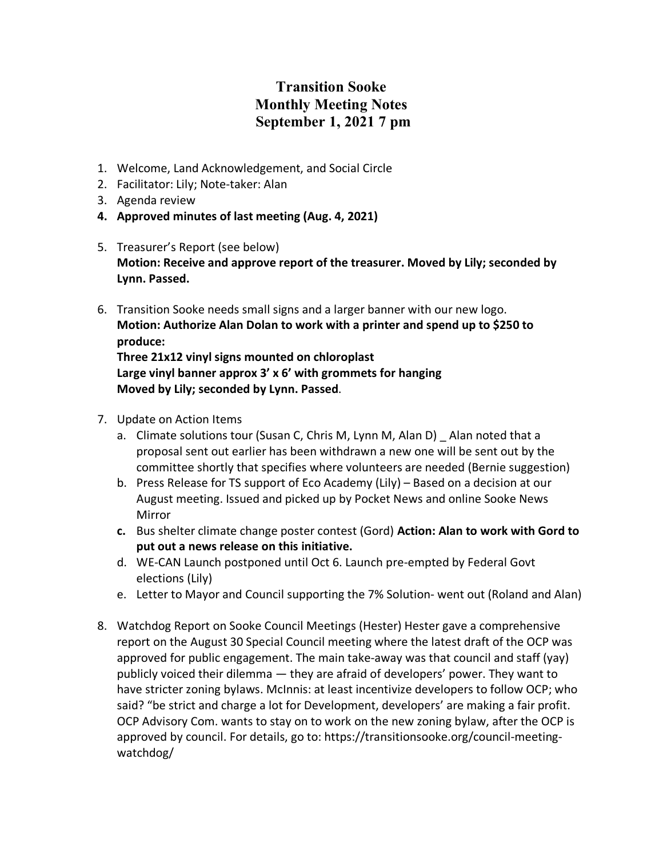## **Transition Sooke Monthly Meeting Notes September 1, 2021 7 pm**

- 1. Welcome, Land Acknowledgement, and Social Circle
- 2. Facilitator: Lily; Note-taker: Alan
- 3. Agenda review
- **4. Approved minutes of last meeting (Aug. 4, 2021)**
- 5. Treasurer's Report (see below) **Motion: Receive and approve report of the treasurer. Moved by Lily; seconded by Lynn. Passed.**
- 6. Transition Sooke needs small signs and a larger banner with our new logo. **Motion: Authorize Alan Dolan to work with a printer and spend up to \$250 to produce: Three 21x12 vinyl signs mounted on chloroplast**

**Large vinyl banner approx 3' x 6' with grommets for hanging Moved by Lily; seconded by Lynn. Passed**.

- 7. Update on Action Items
	- a. Climate solutions tour (Susan C, Chris M, Lynn M, Alan D) Alan noted that a proposal sent out earlier has been withdrawn a new one will be sent out by the committee shortly that specifies where volunteers are needed (Bernie suggestion)
	- b. Press Release for TS support of Eco Academy (Lily) Based on a decision at our August meeting. Issued and picked up by Pocket News and online Sooke News Mirror
	- **c.** Bus shelter climate change poster contest (Gord) **Action: Alan to work with Gord to put out a news release on this initiative.**
	- d. WE-CAN Launch postponed until Oct 6. Launch pre-empted by Federal Govt elections (Lily)
	- e. Letter to Mayor and Council supporting the 7% Solution- went out (Roland and Alan)
- 8. Watchdog Report on Sooke Council Meetings (Hester) Hester gave a comprehensive report on the August 30 Special Council meeting where the latest draft of the OCP was approved for public engagement. The main take-away was that council and staff (yay) publicly voiced their dilemma — they are afraid of developers' power. They want to have stricter zoning bylaws. McInnis: at least incentivize developers to follow OCP; who said? "be strict and charge a lot for Development, developers' are making a fair profit. OCP Advisory Com. wants to stay on to work on the new zoning bylaw, after the OCP is approved by council. For details, go to: https://transitionsooke.org/council-meetingwatchdog/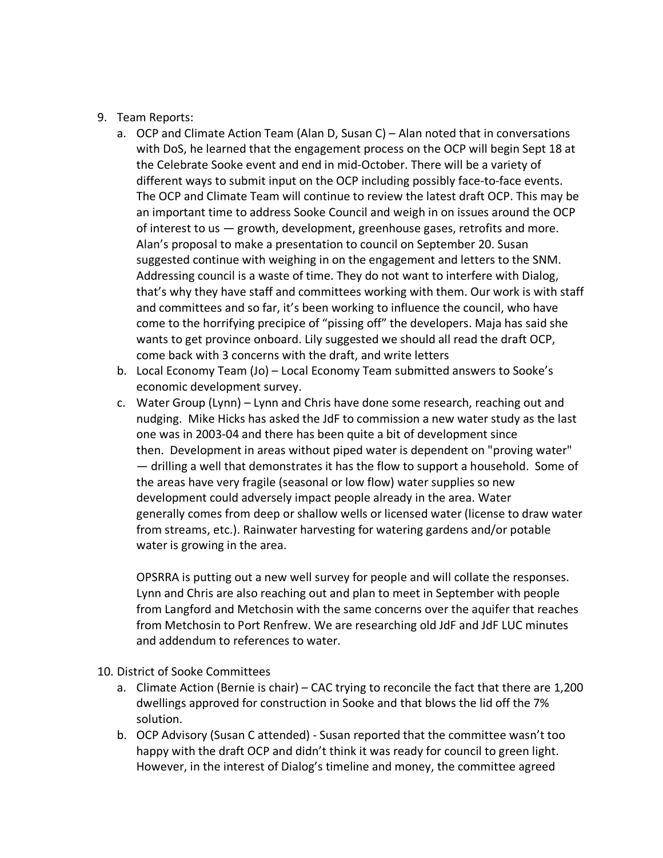- 9. Team Reports:
	- a. OCP and Climate Action Team (Alan D, Susan C) Alan noted that in conversations with DoS, he learned that the engagement process on the OCP will begin Sept 18 at the Celebrate Sooke event and end in mid-October. There will be a variety of different ways to submit input on the OCP including possibly face-to-face events. The OCP and Climate Team will continue to review the latest draft OCP. This may be an important time to address Sooke Council and weigh in on issues around the OCP of interest to us — growth, development, greenhouse gases, retrofits and more. Alan's proposal to make a presentation to council on September 20. Susan suggested continue with weighing in on the engagement and letters to the SNM. Addressing council is a waste of time. They do not want to interfere with Dialog, that's why they have staff and committees working with them. Our work is with staff and committees and so far, it's been working to influence the council, who have come to the horrifying precipice of "pissing off" the developers. Maja has said she wants to get province onboard. Lily suggested we should all read the draft OCP, come back with 3 concerns with the draft, and write letters
	- b. Local Economy Team (Jo) Local Economy Team submitted answers to Sooke's economic development survey.
	- c. Water Group (Lynn) Lynn and Chris have done some research, reaching out and nudging. Mike Hicks has asked the JdF to commission a new water study as the last one was in 2003-04 and there has been quite a bit of development since then. Development in areas without piped water is dependent on "proving water" — drilling a well that demonstrates it has the flow to support a household. Some of the areas have very fragile (seasonal or low flow) water supplies so new development could adversely impact people already in the area. Water generally comes from deep or shallow wells or licensed water (license to draw water from streams, etc.). Rainwater harvesting for watering gardens and/or potable water is growing in the area.

OPSRRA is putting out a new well survey for people and will collate the responses. Lynn and Chris are also reaching out and plan to meet in September with people from Langford and Metchosin with the same concerns over the aquifer that reaches from Metchosin to Port Renfrew. We are researching old JdF and JdF LUC minutes and addendum to references to water.

- 10. District of Sooke Committees
	- a. Climate Action (Bernie is chair) CAC trying to reconcile the fact that there are 1,200 dwellings approved for construction in Sooke and that blows the lid off the 7% solution.
	- b. OCP Advisory (Susan C attended) Susan reported that the committee wasn't too happy with the draft OCP and didn't think it was ready for council to green light. However, in the interest of Dialog's timeline and money, the committee agreed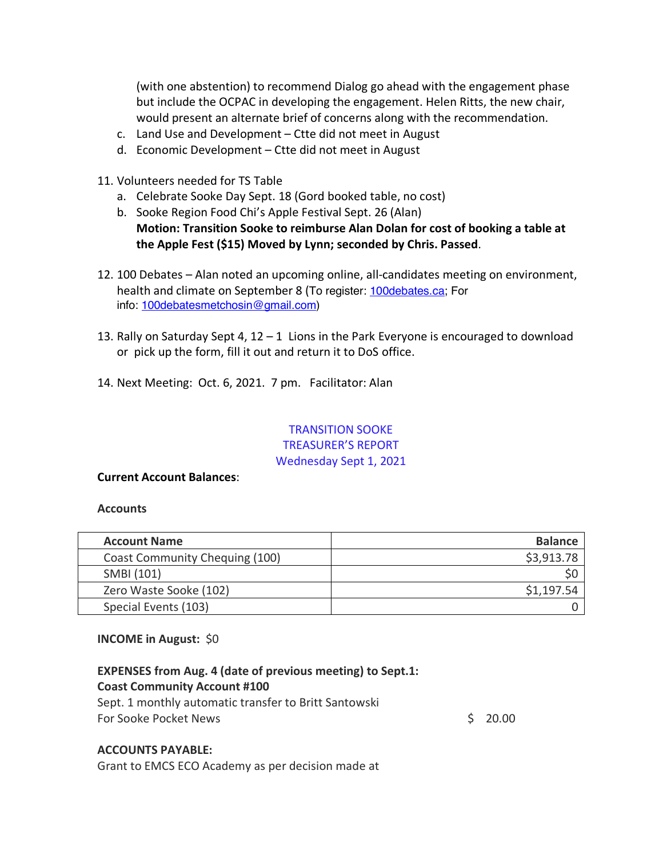(with one abstention) to recommend Dialog go ahead with the engagement phase but include the OCPAC in developing the engagement. Helen Ritts, the new chair, would present an alternate brief of concerns along with the recommendation.

- c. Land Use and Development Ctte did not meet in August
- d. Economic Development Ctte did not meet in August
- 11. Volunteers needed for TS Table
	- a. Celebrate Sooke Day Sept. 18 (Gord booked table, no cost)
	- b. Sooke Region Food Chi's Apple Festival Sept. 26 (Alan) **Motion: Transition Sooke to reimburse Alan Dolan for cost of booking a table at the Apple Fest (\$15) Moved by Lynn; seconded by Chris. Passed**.
- 12. 100 Debates Alan noted an upcoming online, all-candidates meeting on environment, health and climate on September 8 (To register: 100debates.ca; For info: 100debatesmetchosin@gmail.com)
- 13. Rally on Saturday Sept 4, 12 1 Lions in the Park Everyone is encouraged to download or pick up the form, fill it out and return it to DoS office.
- 14. Next Meeting: Oct. 6, 2021. 7 pm. Facilitator: Alan

### TRANSITION SOOKE TREASURER'S REPORT Wednesday Sept 1, 2021

#### **Current Account Balances**:

#### **Accounts**

| <b>Account Name</b>            | <b>Balance</b> |
|--------------------------------|----------------|
| Coast Community Chequing (100) | \$3,913.78     |
| SMBI (101)                     |                |
| Zero Waste Sooke (102)         | \$1,197.54     |
| Special Events (103)           |                |

#### **INCOME in August:** \$0

# **EXPENSES from Aug. 4 (date of previous meeting) to Sept.1: Coast Community Account #100**

Sept. 1 monthly automatic transfer to Britt Santowski For Sooke Pocket News  $\sim$  20.000  $\sim$  20.000  $\sim$  20.000  $\sim$  20.000  $\sim$  20.000  $\sim$  20.000  $\sim$  20.000  $\sim$  20.000  $\sim$  20.000  $\sim$  20.000  $\sim$  20.000  $\sim$  20.000  $\sim$  20.000  $\sim$  20.000  $\sim$  20.000  $\sim$  20.000  $\sim$  20.

#### **ACCOUNTS PAYABLE:**

Grant to EMCS ECO Academy as per decision made at